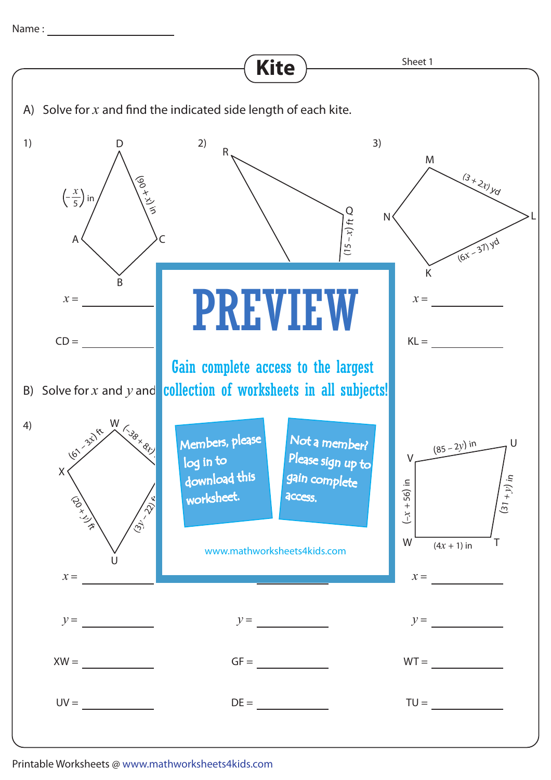